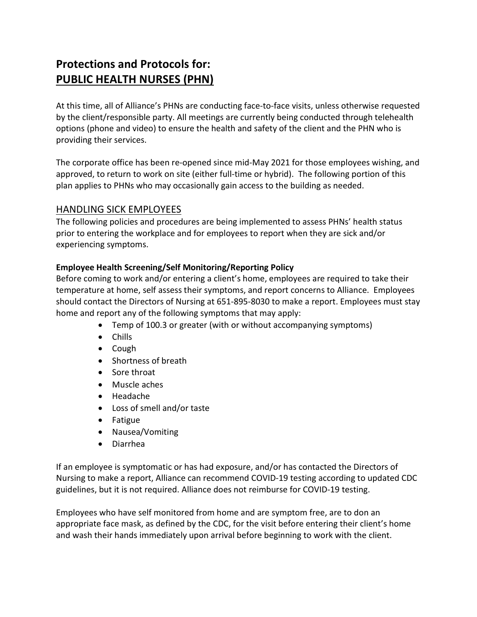# Protections and Protocols for: PUBLIC HEALTH NURSES (PHN)

At this time, all of Alliance's PHNs are conducting face-to-face visits, unless otherwise requested by the client/responsible party. All meetings are currently being conducted through telehealth options (phone and video) to ensure the health and safety of the client and the PHN who is providing their services.

The corporate office has been re-opened since mid-May 2021 for those employees wishing, and approved, to return to work on site (either full-time or hybrid). The following portion of this plan applies to PHNs who may occasionally gain access to the building as needed.

## HANDLING SICK EMPLOYEES

The following policies and procedures are being implemented to assess PHNs' health status prior to entering the workplace and for employees to report when they are sick and/or experiencing symptoms.

### Employee Health Screening/Self Monitoring/Reporting Policy

Before coming to work and/or entering a client's home, employees are required to take their temperature at home, self assess their symptoms, and report concerns to Alliance. Employees should contact the Directors of Nursing at 651-895-8030 to make a report. Employees must stay home and report any of the following symptoms that may apply:

- Temp of 100.3 or greater (with or without accompanying symptoms)
- Chills
- Cough
- Shortness of breath
- Sore throat
- Muscle aches
- Headache
- Loss of smell and/or taste
- Fatigue
- Nausea/Vomiting
- Diarrhea

If an employee is symptomatic or has had exposure, and/or has contacted the Directors of Nursing to make a report, Alliance can recommend COVID-19 testing according to updated CDC guidelines, but it is not required. Alliance does not reimburse for COVID-19 testing.

Employees who have self monitored from home and are symptom free, are to don an appropriate face mask, as defined by the CDC, for the visit before entering their client's home and wash their hands immediately upon arrival before beginning to work with the client.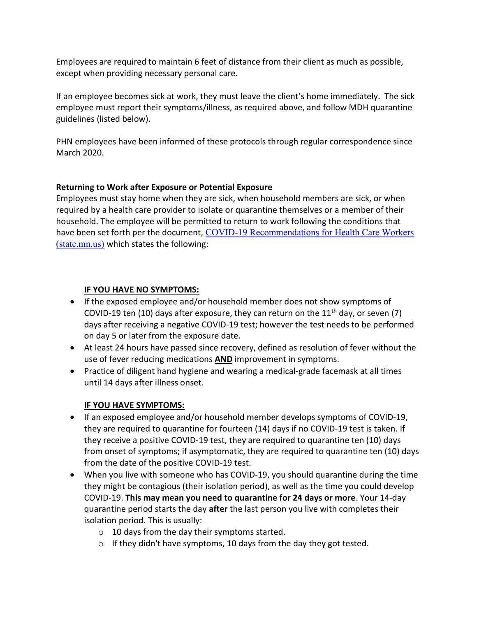Employees are required to maintain 6 feet of distance from their client as much as possible, except when providing necessary personal care.

If an employee becomes sick at work, they must leave the client's home immediately. The sick employee must report their symptoms/illness, as required above, and follow MDH quarantine guidelines (listed below).

PHN employees have been informed of these protocols through regular correspondence since March 2020.

### Returning to Work after Exposure or Potential Exposure

Employees must stay home when they are sick, when household members are sick, or when required by a health care provider to isolate or quarantine themselves or a member of their household. The employee will be permitted to return to work following the conditions that have been set forth per the document, COVID-19 Recommendations for Health Care Workers (state.mn.us) which states the following:

## IF YOU HAVE NO SYMPTOMS:

- If the exposed employee and/or household member does not show symptoms of COVID-19 ten (10) days after exposure, they can return on the 11<sup>th</sup> day, or seven (7) days after receiving a negative COVID-19 test; however the test needs to be performed on day 5 or later from the exposure date.
- At least 24 hours have passed since recovery, defined as resolution of fever without the use of fever reducing medications **AND** improvement in symptoms.
- Practice of diligent hand hygiene and wearing a medical-grade facemask at all times until 14 days after illness onset.

### IF YOU HAVE SYMPTOMS:

- If an exposed employee and/or household member develops symptoms of COVID-19, they are required to quarantine for fourteen (14) days if no COVID-19 test is taken. If they receive a positive COVID-19 test, they are required to quarantine ten (10) days from onset of symptoms; if asymptomatic, they are required to quarantine ten (10) days from the date of the positive COVID-19 test.
- When you live with someone who has COVID-19, you should quarantine during the time they might be contagious (their isolation period), as well as the time you could develop COVID-19. This may mean you need to quarantine for 24 days or more. Your 14-day quarantine period starts the day after the last person you live with completes their isolation period. This is usually:
	- $\circ$  10 days from the day their symptoms started.
	- $\circ$  If they didn't have symptoms, 10 days from the day they got tested.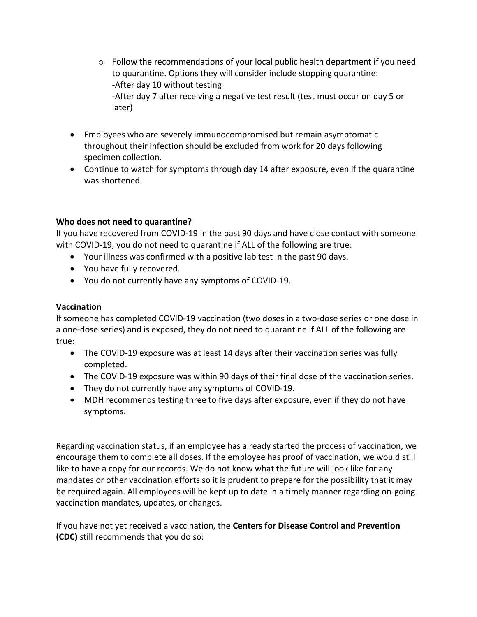- $\circ$  Follow the recommendations of your local public health department if you need to quarantine. Options they will consider include stopping quarantine: -After day 10 without testing -After day 7 after receiving a negative test result (test must occur on day 5 or later)
- Employees who are severely immunocompromised but remain asymptomatic throughout their infection should be excluded from work for 20 days following specimen collection.
- Continue to watch for symptoms through day 14 after exposure, even if the quarantine was shortened.

#### Who does not need to quarantine?

If you have recovered from COVID-19 in the past 90 days and have close contact with someone with COVID-19, you do not need to quarantine if ALL of the following are true:

- Your illness was confirmed with a positive lab test in the past 90 days.
- You have fully recovered.
- You do not currently have any symptoms of COVID-19.

### Vaccination

If someone has completed COVID-19 vaccination (two doses in a two-dose series or one dose in a one-dose series) and is exposed, they do not need to quarantine if ALL of the following are true:

- The COVID-19 exposure was at least 14 days after their vaccination series was fully completed.
- The COVID-19 exposure was within 90 days of their final dose of the vaccination series.
- They do not currently have any symptoms of COVID-19.
- MDH recommends testing three to five days after exposure, even if they do not have symptoms.

Regarding vaccination status, if an employee has already started the process of vaccination, we encourage them to complete all doses. If the employee has proof of vaccination, we would still like to have a copy for our records. We do not know what the future will look like for any mandates or other vaccination efforts so it is prudent to prepare for the possibility that it may be required again. All employees will be kept up to date in a timely manner regarding on-going vaccination mandates, updates, or changes.

If you have not yet received a vaccination, the Centers for Disease Control and Prevention (CDC) still recommends that you do so: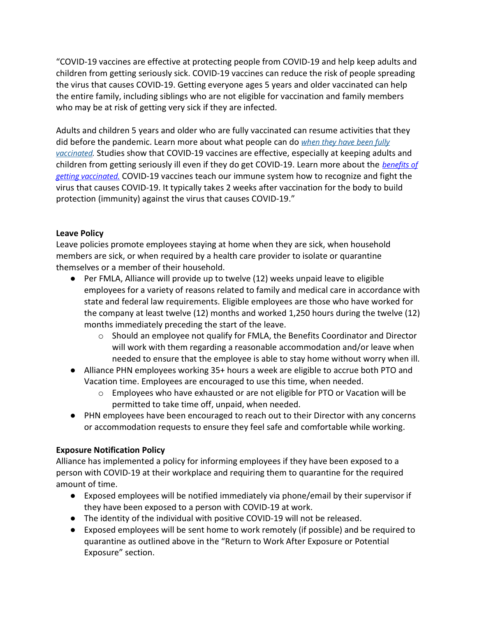"COVID-19 vaccines are effective at protecting people from COVID-19 and help keep adults and children from getting seriously sick. COVID-19 vaccines can reduce the risk of people spreading the virus that causes COVID-19. Getting everyone ages 5 years and older vaccinated can help the entire family, including siblings who are not eligible for vaccination and family members who may be at risk of getting very sick if they are infected.

Adults and children 5 years and older who are fully vaccinated can resume activities that they did before the pandemic. Learn more about what people can do when they have been fully vaccinated. Studies show that COVID-19 vaccines are effective, especially at keeping adults and children from getting seriously ill even if they do get COVID-19. Learn more about the benefits of getting vaccinated. COVID-19 vaccines teach our immune system how to recognize and fight the virus that causes COVID-19. It typically takes 2 weeks after vaccination for the body to build protection (immunity) against the virus that causes COVID-19."

#### Leave Policy

Leave policies promote employees staying at home when they are sick, when household members are sick, or when required by a health care provider to isolate or quarantine themselves or a member of their household.

- Per FMLA, Alliance will provide up to twelve (12) weeks unpaid leave to eligible employees for a variety of reasons related to family and medical care in accordance with state and federal law requirements. Eligible employees are those who have worked for the company at least twelve (12) months and worked 1,250 hours during the twelve (12) months immediately preceding the start of the leave.
	- o Should an employee not qualify for FMLA, the Benefits Coordinator and Director will work with them regarding a reasonable accommodation and/or leave when needed to ensure that the employee is able to stay home without worry when ill.
- Alliance PHN employees working 35+ hours a week are eligible to accrue both PTO and Vacation time. Employees are encouraged to use this time, when needed.
	- o Employees who have exhausted or are not eligible for PTO or Vacation will be permitted to take time off, unpaid, when needed.
- PHN employees have been encouraged to reach out to their Director with any concerns or accommodation requests to ensure they feel safe and comfortable while working.

### Exposure Notification Policy

Alliance has implemented a policy for informing employees if they have been exposed to a person with COVID-19 at their workplace and requiring them to quarantine for the required amount of time.

- Exposed employees will be notified immediately via phone/email by their supervisor if they have been exposed to a person with COVID-19 at work.
- The identity of the individual with positive COVID-19 will not be released.
- Exposed employees will be sent home to work remotely (if possible) and be required to quarantine as outlined above in the "Return to Work After Exposure or Potential Exposure" section.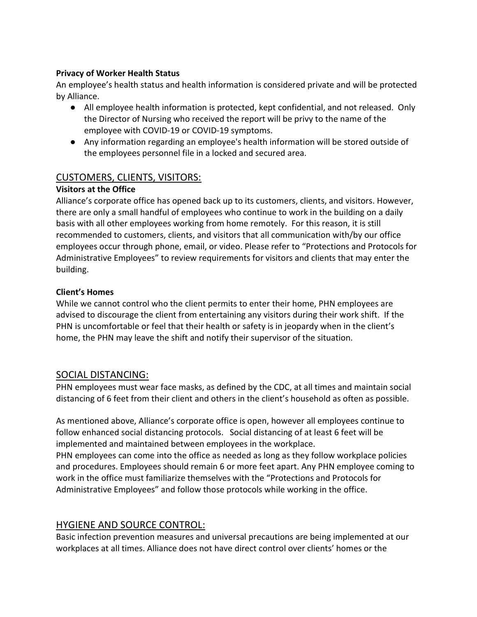### Privacy of Worker Health Status

An employee's health status and health information is considered private and will be protected by Alliance.

- All employee health information is protected, kept confidential, and not released. Only the Director of Nursing who received the report will be privy to the name of the employee with COVID-19 or COVID-19 symptoms.
- Any information regarding an employee's health information will be stored outside of the employees personnel file in a locked and secured area.

# CUSTOMERS, CLIENTS, VISITORS:

## Visitors at the Office

Alliance's corporate office has opened back up to its customers, clients, and visitors. However, there are only a small handful of employees who continue to work in the building on a daily basis with all other employees working from home remotely. For this reason, it is still recommended to customers, clients, and visitors that all communication with/by our office employees occur through phone, email, or video. Please refer to "Protections and Protocols for Administrative Employees" to review requirements for visitors and clients that may enter the building.

## Client's Homes

While we cannot control who the client permits to enter their home, PHN employees are advised to discourage the client from entertaining any visitors during their work shift. If the PHN is uncomfortable or feel that their health or safety is in jeopardy when in the client's home, the PHN may leave the shift and notify their supervisor of the situation.

## SOCIAL DISTANCING:

PHN employees must wear face masks, as defined by the CDC, at all times and maintain social distancing of 6 feet from their client and others in the client's household as often as possible.

As mentioned above, Alliance's corporate office is open, however all employees continue to follow enhanced social distancing protocols. Social distancing of at least 6 feet will be implemented and maintained between employees in the workplace.

PHN employees can come into the office as needed as long as they follow workplace policies and procedures. Employees should remain 6 or more feet apart. Any PHN employee coming to work in the office must familiarize themselves with the "Protections and Protocols for Administrative Employees" and follow those protocols while working in the office.

## HYGIENE AND SOURCE CONTROL:

Basic infection prevention measures and universal precautions are being implemented at our workplaces at all times. Alliance does not have direct control over clients' homes or the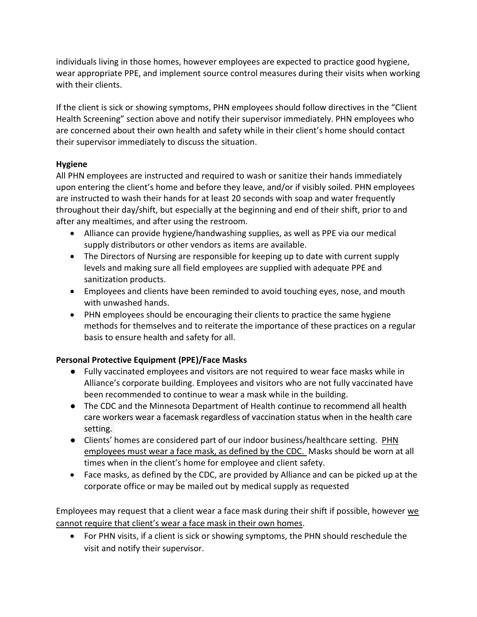individuals living in those homes, however employees are expected to practice good hygiene, wear appropriate PPE, and implement source control measures during their visits when working with their clients.

If the client is sick or showing symptoms, PHN employees should follow directives in the "Client Health Screening" section above and notify their supervisor immediately. PHN employees who are concerned about their own health and safety while in their client's home should contact their supervisor immediately to discuss the situation.

## Hygiene

All PHN employees are instructed and required to wash or sanitize their hands immediately upon entering the client's home and before they leave, and/or if visibly soiled. PHN employees are instructed to wash their hands for at least 20 seconds with soap and water frequently throughout their day/shift, but especially at the beginning and end of their shift, prior to and after any mealtimes, and after using the restroom.

- Alliance can provide hygiene/handwashing supplies, as well as PPE via our medical supply distributors or other vendors as items are available.
- The Directors of Nursing are responsible for keeping up to date with current supply levels and making sure all field employees are supplied with adequate PPE and sanitization products.
- Employees and clients have been reminded to avoid touching eyes, nose, and mouth with unwashed hands.
- PHN employees should be encouraging their clients to practice the same hygiene methods for themselves and to reiterate the importance of these practices on a regular basis to ensure health and safety for all.

## Personal Protective Equipment (PPE)/Face Masks

- Fully vaccinated employees and visitors are not required to wear face masks while in Alliance's corporate building. Employees and visitors who are not fully vaccinated have been recommended to continue to wear a mask while in the building.
- The CDC and the Minnesota Department of Health continue to recommend all health care workers wear a facemask regardless of vaccination status when in the health care setting.
- Clients' homes are considered part of our indoor business/healthcare setting. PHN employees must wear a face mask, as defined by the CDC. Masks should be worn at all times when in the client's home for employee and client safety.
- Face masks, as defined by the CDC, are provided by Alliance and can be picked up at the corporate office or may be mailed out by medical supply as requested

Employees may request that a client wear a face mask during their shift if possible, however we cannot require that client's wear a face mask in their own homes.

 For PHN visits, if a client is sick or showing symptoms, the PHN should reschedule the visit and notify their supervisor.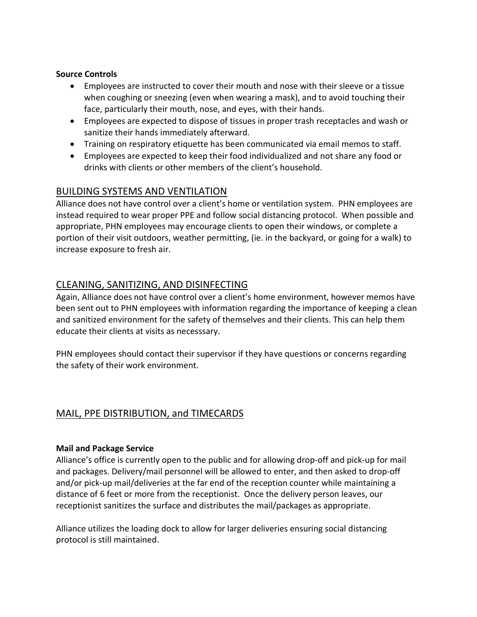#### Source Controls

- Employees are instructed to cover their mouth and nose with their sleeve or a tissue when coughing or sneezing (even when wearing a mask), and to avoid touching their face, particularly their mouth, nose, and eyes, with their hands.
- Employees are expected to dispose of tissues in proper trash receptacles and wash or sanitize their hands immediately afterward.
- Training on respiratory etiquette has been communicated via email memos to staff.
- Employees are expected to keep their food individualized and not share any food or drinks with clients or other members of the client's household.

## BUILDING SYSTEMS AND VENTILATION

Alliance does not have control over a client's home or ventilation system. PHN employees are instead required to wear proper PPE and follow social distancing protocol. When possible and appropriate, PHN employees may encourage clients to open their windows, or complete a portion of their visit outdoors, weather permitting, (ie. in the backyard, or going for a walk) to increase exposure to fresh air.

# CLEANING, SANITIZING, AND DISINFECTING

Again, Alliance does not have control over a client's home environment, however memos have been sent out to PHN employees with information regarding the importance of keeping a clean and sanitized environment for the safety of themselves and their clients. This can help them educate their clients at visits as necesssary.

PHN employees should contact their supervisor if they have questions or concerns regarding the safety of their work environment.

# MAIL, PPE DISTRIBUTION, and TIMECARDS

### Mail and Package Service

Alliance's office is currently open to the public and for allowing drop-off and pick-up for mail and packages. Delivery/mail personnel will be allowed to enter, and then asked to drop-off and/or pick-up mail/deliveries at the far end of the reception counter while maintaining a distance of 6 feet or more from the receptionist. Once the delivery person leaves, our receptionist sanitizes the surface and distributes the mail/packages as appropriate.

Alliance utilizes the loading dock to allow for larger deliveries ensuring social distancing protocol is still maintained.